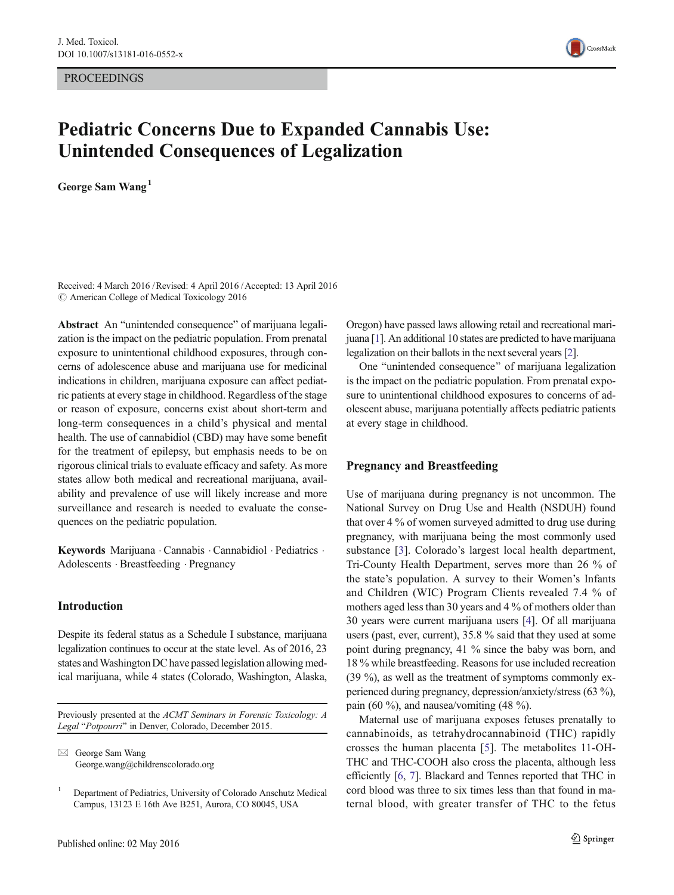**PROCEEDINGS** 



# Pediatric Concerns Due to Expanded Cannabis Use: Unintended Consequences of Legalization

George Sam Wang<sup>1</sup>

Received: 4 March 2016 /Revised: 4 April 2016 /Accepted: 13 April 2016  $\odot$  American College of Medical Toxicology 2016

Abstract An "unintended consequence" of marijuana legalization is the impact on the pediatric population. From prenatal exposure to unintentional childhood exposures, through concerns of adolescence abuse and marijuana use for medicinal indications in children, marijuana exposure can affect pediatric patients at every stage in childhood. Regardless of the stage or reason of exposure, concerns exist about short-term and long-term consequences in a child's physical and mental health. The use of cannabidiol (CBD) may have some benefit for the treatment of epilepsy, but emphasis needs to be on rigorous clinical trials to evaluate efficacy and safety. As more states allow both medical and recreational marijuana, availability and prevalence of use will likely increase and more surveillance and research is needed to evaluate the consequences on the pediatric population.

Keywords Marijuana . Cannabis . Cannabidiol . Pediatrics . Adolescents . Breastfeeding . Pregnancy

# Introduction

Despite its federal status as a Schedule I substance, marijuana legalization continues to occur at the state level. As of 2016, 23 states and Washington DC have passed legislation allowing medical marijuana, while 4 states (Colorado, Washington, Alaska,

Previously presented at the ACMT Seminars in Forensic Toxicology: A Legal "Potpourri" in Denver, Colorado, December 2015.

 $\boxtimes$  George Sam Wang George.wang@childrenscolorado.org Oregon) have passed laws allowing retail and recreational marijuana [\[1\]](#page-4-0). An additional 10 states are predicted to have marijuana legalization on their ballots in the next several years [[2](#page-4-0)].

One "unintended consequence" of marijuana legalization is the impact on the pediatric population. From prenatal exposure to unintentional childhood exposures to concerns of adolescent abuse, marijuana potentially affects pediatric patients at every stage in childhood.

### Pregnancy and Breastfeeding

Use of marijuana during pregnancy is not uncommon. The National Survey on Drug Use and Health (NSDUH) found that over 4 % of women surveyed admitted to drug use during pregnancy, with marijuana being the most commonly used substance [\[3](#page-4-0)]. Colorado's largest local health department, Tri-County Health Department, serves more than 26 % of the state's population. A survey to their Women's Infants and Children (WIC) Program Clients revealed 7.4 % of mothers aged less than 30 years and 4 % of mothers older than 30 years were current marijuana users [[4\]](#page-4-0). Of all marijuana users (past, ever, current), 35.8 % said that they used at some point during pregnancy, 41 % since the baby was born, and 18 % while breastfeeding. Reasons for use included recreation (39 %), as well as the treatment of symptoms commonly experienced during pregnancy, depression/anxiety/stress (63 %), pain (60 %), and nausea/vomiting (48 %).

Maternal use of marijuana exposes fetuses prenatally to cannabinoids, as tetrahydrocannabinoid (THC) rapidly crosses the human placenta [[5](#page-4-0)]. The metabolites 11-OH-THC and THC-COOH also cross the placenta, although less efficiently [[6](#page-4-0), [7\]](#page-4-0). Blackard and Tennes reported that THC in cord blood was three to six times less than that found in maternal blood, with greater transfer of THC to the fetus

<sup>&</sup>lt;sup>1</sup> Department of Pediatrics, University of Colorado Anschutz Medical Campus, 13123 E 16th Ave B251, Aurora, CO 80045, USA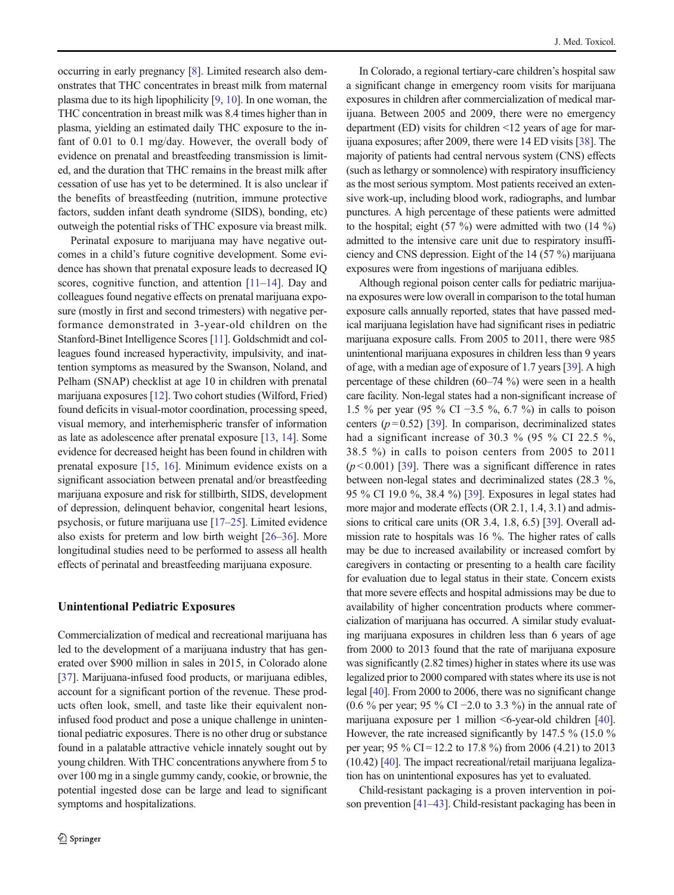occurring in early pregnancy [\[8](#page-4-0)]. Limited research also demonstrates that THC concentrates in breast milk from maternal plasma due to its high lipophilicity [\[9,](#page-4-0) [10](#page-4-0)]. In one woman, the THC concentration in breast milk was 8.4 times higher than in plasma, yielding an estimated daily THC exposure to the infant of 0.01 to 0.1 mg/day. However, the overall body of evidence on prenatal and breastfeeding transmission is limited, and the duration that THC remains in the breast milk after cessation of use has yet to be determined. It is also unclear if the benefits of breastfeeding (nutrition, immune protective factors, sudden infant death syndrome (SIDS), bonding, etc) outweigh the potential risks of THC exposure via breast milk.

Perinatal exposure to marijuana may have negative outcomes in a child's future cognitive development. Some evidence has shown that prenatal exposure leads to decreased IQ scores, cognitive function, and attention [[11](#page-4-0)–[14](#page-4-0)]. Day and colleagues found negative effects on prenatal marijuana exposure (mostly in first and second trimesters) with negative performance demonstrated in 3-year-old children on the Stanford-Binet Intelligence Scores [[11](#page-4-0)]. Goldschmidt and colleagues found increased hyperactivity, impulsivity, and inattention symptoms as measured by the Swanson, Noland, and Pelham (SNAP) checklist at age 10 in children with prenatal marijuana exposures [[12](#page-4-0)]. Two cohort studies (Wilford, Fried) found deficits in visual-motor coordination, processing speed, visual memory, and interhemispheric transfer of information as late as adolescence after prenatal exposure [[13](#page-4-0), [14\]](#page-4-0). Some evidence for decreased height has been found in children with prenatal exposure [\[15](#page-4-0), [16](#page-4-0)]. Minimum evidence exists on a significant association between prenatal and/or breastfeeding marijuana exposure and risk for stillbirth, SIDS, development of depression, delinquent behavior, congenital heart lesions, psychosis, or future marijuana use [\[17](#page-4-0)–[25\]](#page-4-0). Limited evidence also exists for preterm and low birth weight [\[26](#page-4-0)–[36\]](#page-4-0). More longitudinal studies need to be performed to assess all health effects of perinatal and breastfeeding marijuana exposure.

#### Unintentional Pediatric Exposures

Commercialization of medical and recreational marijuana has led to the development of a marijuana industry that has generated over \$900 million in sales in 2015, in Colorado alone [\[37\]](#page-4-0). Marijuana-infused food products, or marijuana edibles, account for a significant portion of the revenue. These products often look, smell, and taste like their equivalent noninfused food product and pose a unique challenge in unintentional pediatric exposures. There is no other drug or substance found in a palatable attractive vehicle innately sought out by young children. With THC concentrations anywhere from 5 to over 100 mg in a single gummy candy, cookie, or brownie, the potential ingested dose can be large and lead to significant symptoms and hospitalizations.

In Colorado, a regional tertiary-care children's hospital saw a significant change in emergency room visits for marijuana exposures in children after commercialization of medical marijuana. Between 2005 and 2009, there were no emergency department (ED) visits for children <12 years of age for marijuana exposures; after 2009, there were 14 ED visits [[38\]](#page-5-0). The majority of patients had central nervous system (CNS) effects (such as lethargy or somnolence) with respiratory insufficiency as the most serious symptom. Most patients received an extensive work-up, including blood work, radiographs, and lumbar punctures. A high percentage of these patients were admitted to the hospital; eight  $(57 \%)$  were admitted with two  $(14 \%)$ admitted to the intensive care unit due to respiratory insufficiency and CNS depression. Eight of the 14 (57 %) marijuana exposures were from ingestions of marijuana edibles.

Although regional poison center calls for pediatric marijuana exposures were low overall in comparison to the total human exposure calls annually reported, states that have passed medical marijuana legislation have had significant rises in pediatric marijuana exposure calls. From 2005 to 2011, there were 985 unintentional marijuana exposures in children less than 9 years of age, with a median age of exposure of 1.7 years [[39](#page-5-0)]. A high percentage of these children (60–74 %) were seen in a health care facility. Non-legal states had a non-significant increase of 1.5 % per year (95 % CI −3.5 %, 6.7 %) in calls to poison centers ( $p=0.52$ ) [\[39](#page-5-0)]. In comparison, decriminalized states had a significant increase of 30.3 % (95 % CI 22.5 %, 38.5 %) in calls to poison centers from 2005 to 2011  $(p<0.001)$  [[39\]](#page-5-0). There was a significant difference in rates between non-legal states and decriminalized states (28.3 %, 95 % CI 19.0 %, 38.4 %) [\[39](#page-5-0)]. Exposures in legal states had more major and moderate effects (OR 2.1, 1.4, 3.1) and admissions to critical care units (OR 3.4, 1.8, 6.5) [[39](#page-5-0)]. Overall admission rate to hospitals was 16 %. The higher rates of calls may be due to increased availability or increased comfort by caregivers in contacting or presenting to a health care facility for evaluation due to legal status in their state. Concern exists that more severe effects and hospital admissions may be due to availability of higher concentration products where commercialization of marijuana has occurred. A similar study evaluating marijuana exposures in children less than 6 years of age from 2000 to 2013 found that the rate of marijuana exposure was significantly (2.82 times) higher in states where its use was legalized prior to 2000 compared with states where its use is not legal [[40](#page-5-0)]. From 2000 to 2006, there was no significant change (0.6 % per year; 95 % CI −2.0 to 3.3 %) in the annual rate of marijuana exposure per 1 million <6-year-old children [\[40\]](#page-5-0). However, the rate increased significantly by 147.5 % (15.0 % per year; 95 % CI = 12.2 to 17.8 %) from 2006 (4.21) to 2013 (10.42) [\[40](#page-5-0)]. The impact recreational/retail marijuana legalization has on unintentional exposures has yet to evaluated.

Child-resistant packaging is a proven intervention in poison prevention [\[41](#page-5-0)–[43\]](#page-5-0). Child-resistant packaging has been in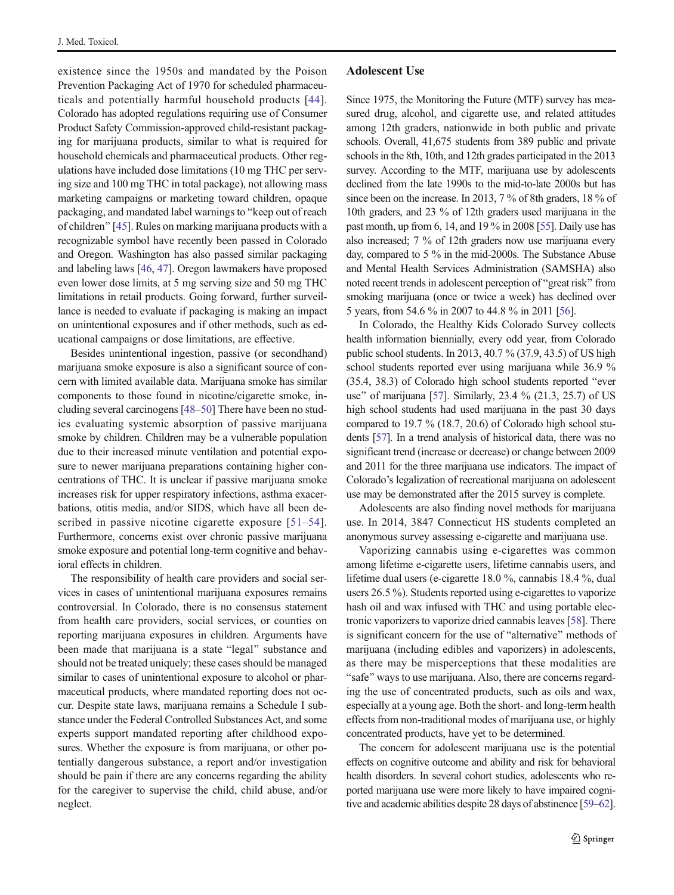existence since the 1950s and mandated by the Poison Prevention Packaging Act of 1970 for scheduled pharmaceuticals and potentially harmful household products [[44](#page-5-0)]. Colorado has adopted regulations requiring use of Consumer Product Safety Commission-approved child-resistant packaging for marijuana products, similar to what is required for household chemicals and pharmaceutical products. Other regulations have included dose limitations (10 mg THC per serving size and 100 mg THC in total package), not allowing mass marketing campaigns or marketing toward children, opaque packaging, and mandated label warnings to "keep out of reach of children^ [[45](#page-5-0)]. Rules on marking marijuana products with a recognizable symbol have recently been passed in Colorado and Oregon. Washington has also passed similar packaging and labeling laws [\[46](#page-5-0), [47\]](#page-5-0). Oregon lawmakers have proposed even lower dose limits, at 5 mg serving size and 50 mg THC limitations in retail products. Going forward, further surveillance is needed to evaluate if packaging is making an impact on unintentional exposures and if other methods, such as educational campaigns or dose limitations, are effective.

Besides unintentional ingestion, passive (or secondhand) marijuana smoke exposure is also a significant source of concern with limited available data. Marijuana smoke has similar components to those found in nicotine/cigarette smoke, including several carcinogens [[48](#page-5-0)–[50](#page-5-0)] There have been no studies evaluating systemic absorption of passive marijuana smoke by children. Children may be a vulnerable population due to their increased minute ventilation and potential exposure to newer marijuana preparations containing higher concentrations of THC. It is unclear if passive marijuana smoke increases risk for upper respiratory infections, asthma exacerbations, otitis media, and/or SIDS, which have all been de-scribed in passive nicotine cigarette exposure [[51](#page-5-0)–[54](#page-5-0)]. Furthermore, concerns exist over chronic passive marijuana smoke exposure and potential long-term cognitive and behavioral effects in children.

The responsibility of health care providers and social services in cases of unintentional marijuana exposures remains controversial. In Colorado, there is no consensus statement from health care providers, social services, or counties on reporting marijuana exposures in children. Arguments have been made that marijuana is a state "legal" substance and should not be treated uniquely; these cases should be managed similar to cases of unintentional exposure to alcohol or pharmaceutical products, where mandated reporting does not occur. Despite state laws, marijuana remains a Schedule I substance under the Federal Controlled Substances Act, and some experts support mandated reporting after childhood exposures. Whether the exposure is from marijuana, or other potentially dangerous substance, a report and/or investigation should be pain if there are any concerns regarding the ability for the caregiver to supervise the child, child abuse, and/or neglect.

#### Adolescent Use

Since 1975, the Monitoring the Future (MTF) survey has measured drug, alcohol, and cigarette use, and related attitudes among 12th graders, nationwide in both public and private schools. Overall, 41,675 students from 389 public and private schools in the 8th, 10th, and 12th grades participated in the 2013 survey. According to the MTF, marijuana use by adolescents declined from the late 1990s to the mid-to-late 2000s but has since been on the increase. In 2013, 7 % of 8th graders, 18 % of 10th graders, and 23 % of 12th graders used marijuana in the past month, up from 6, 14, and 19 % in 2008 [\[55\]](#page-5-0). Daily use has also increased; 7 % of 12th graders now use marijuana every day, compared to 5 % in the mid-2000s. The Substance Abuse and Mental Health Services Administration (SAMSHA) also noted recent trends in adolescent perception of "great risk" from smoking marijuana (once or twice a week) has declined over 5 years, from 54.6 % in 2007 to 44.8 % in 2011 [[56](#page-5-0)].

In Colorado, the Healthy Kids Colorado Survey collects health information biennially, every odd year, from Colorado public school students. In 2013, 40.7 % (37.9, 43.5) of US high school students reported ever using marijuana while 36.9 % (35.4, 38.3) of Colorado high school students reported "ever use" of marijuana [\[57\]](#page-5-0). Similarly,  $23.4 \%$  (21.3, 25.7) of US high school students had used marijuana in the past 30 days compared to 19.7 % (18.7, 20.6) of Colorado high school students [\[57\]](#page-5-0). In a trend analysis of historical data, there was no significant trend (increase or decrease) or change between 2009 and 2011 for the three marijuana use indicators. The impact of Colorado's legalization of recreational marijuana on adolescent use may be demonstrated after the 2015 survey is complete.

Adolescents are also finding novel methods for marijuana use. In 2014, 3847 Connecticut HS students completed an anonymous survey assessing e-cigarette and marijuana use.

Vaporizing cannabis using e-cigarettes was common among lifetime e-cigarette users, lifetime cannabis users, and lifetime dual users (e-cigarette 18.0 %, cannabis 18.4 %, dual users 26.5 %). Students reported using e-cigarettes to vaporize hash oil and wax infused with THC and using portable electronic vaporizers to vaporize dried cannabis leaves [\[58](#page-5-0)]. There is significant concern for the use of "alternative" methods of marijuana (including edibles and vaporizers) in adolescents, as there may be misperceptions that these modalities are "safe" ways to use marijuana. Also, there are concerns regarding the use of concentrated products, such as oils and wax, especially at a young age. Both the short- and long-term health effects from non-traditional modes of marijuana use, or highly concentrated products, have yet to be determined.

The concern for adolescent marijuana use is the potential effects on cognitive outcome and ability and risk for behavioral health disorders. In several cohort studies, adolescents who reported marijuana use were more likely to have impaired cognitive and academic abilities despite 28 days of abstinence [\[59](#page-5-0)–[62\]](#page-5-0).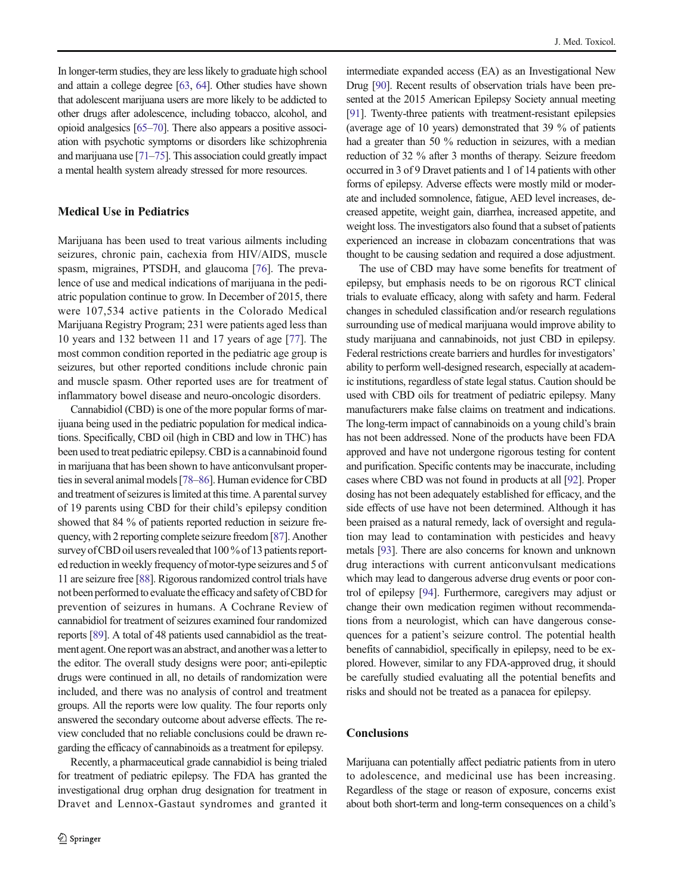In longer-term studies, they are less likely to graduate high school and attain a college degree [\[63,](#page-5-0) [64\]](#page-5-0). Other studies have shown that adolescent marijuana users are more likely to be addicted to other drugs after adolescence, including tobacco, alcohol, and opioid analgesics [\[65](#page-5-0)–[70](#page-5-0)]. There also appears a positive association with psychotic symptoms or disorders like schizophrenia and marijuana use [\[71](#page-5-0)–[75\]](#page-5-0). This association could greatly impact a mental health system already stressed for more resources.

## Medical Use in Pediatrics

Marijuana has been used to treat various ailments including seizures, chronic pain, cachexia from HIV/AIDS, muscle spasm, migraines, PTSDH, and glaucoma [\[76](#page-5-0)]. The prevalence of use and medical indications of marijuana in the pediatric population continue to grow. In December of 2015, there were 107,534 active patients in the Colorado Medical Marijuana Registry Program; 231 were patients aged less than 10 years and 132 between 11 and 17 years of age [\[77](#page-5-0)]. The most common condition reported in the pediatric age group is seizures, but other reported conditions include chronic pain and muscle spasm. Other reported uses are for treatment of inflammatory bowel disease and neuro-oncologic disorders.

Cannabidiol (CBD) is one of the more popular forms of marijuana being used in the pediatric population for medical indications. Specifically, CBD oil (high in CBD and low in THC) has been used to treat pediatric epilepsy. CBD is a cannabinoid found in marijuana that has been shown to have anticonvulsant properties in several animal models [\[78](#page-5-0)–[86\]](#page-6-0). Human evidence for CBD and treatment of seizures is limited at this time. A parental survey of 19 parents using CBD for their child's epilepsy condition showed that 84 % of patients reported reduction in seizure frequency, with 2 reporting complete seizure freedom [[87](#page-6-0)]. Another survey of CBD oil users revealed that 100 % of 13 patients reported reduction in weekly frequency of motor-type seizures and 5 of 11 are seizure free [\[88](#page-6-0)]. Rigorous randomized control trials have not been performed to evaluate the efficacy and safety of CBD for prevention of seizures in humans. A Cochrane Review of cannabidiol for treatment of seizures examined four randomized reports [\[89\]](#page-6-0). A total of 48 patients used cannabidiol as the treatment agent. One report was an abstract, and another was a letter to the editor. The overall study designs were poor; anti-epileptic drugs were continued in all, no details of randomization were included, and there was no analysis of control and treatment groups. All the reports were low quality. The four reports only answered the secondary outcome about adverse effects. The review concluded that no reliable conclusions could be drawn regarding the efficacy of cannabinoids as a treatment for epilepsy.

Recently, a pharmaceutical grade cannabidiol is being trialed for treatment of pediatric epilepsy. The FDA has granted the investigational drug orphan drug designation for treatment in Dravet and Lennox-Gastaut syndromes and granted it intermediate expanded access (EA) as an Investigational New Drug [\[90\]](#page-6-0). Recent results of observation trials have been presented at the 2015 American Epilepsy Society annual meeting [\[91\]](#page-6-0). Twenty-three patients with treatment-resistant epilepsies (average age of 10 years) demonstrated that 39 % of patients had a greater than 50 % reduction in seizures, with a median reduction of 32 % after 3 months of therapy. Seizure freedom occurred in 3 of 9 Dravet patients and 1 of 14 patients with other forms of epilepsy. Adverse effects were mostly mild or moderate and included somnolence, fatigue, AED level increases, decreased appetite, weight gain, diarrhea, increased appetite, and weight loss. The investigators also found that a subset of patients experienced an increase in clobazam concentrations that was thought to be causing sedation and required a dose adjustment.

The use of CBD may have some benefits for treatment of epilepsy, but emphasis needs to be on rigorous RCT clinical trials to evaluate efficacy, along with safety and harm. Federal changes in scheduled classification and/or research regulations surrounding use of medical marijuana would improve ability to study marijuana and cannabinoids, not just CBD in epilepsy. Federal restrictions create barriers and hurdles for investigators' ability to perform well-designed research, especially at academic institutions, regardless of state legal status. Caution should be used with CBD oils for treatment of pediatric epilepsy. Many manufacturers make false claims on treatment and indications. The long-term impact of cannabinoids on a young child's brain has not been addressed. None of the products have been FDA approved and have not undergone rigorous testing for content and purification. Specific contents may be inaccurate, including cases where CBD was not found in products at all [[92](#page-6-0)]. Proper dosing has not been adequately established for efficacy, and the side effects of use have not been determined. Although it has been praised as a natural remedy, lack of oversight and regulation may lead to contamination with pesticides and heavy metals [[93](#page-6-0)]. There are also concerns for known and unknown drug interactions with current anticonvulsant medications which may lead to dangerous adverse drug events or poor control of epilepsy [\[94](#page-6-0)]. Furthermore, caregivers may adjust or change their own medication regimen without recommendations from a neurologist, which can have dangerous consequences for a patient's seizure control. The potential health benefits of cannabidiol, specifically in epilepsy, need to be explored. However, similar to any FDA-approved drug, it should be carefully studied evaluating all the potential benefits and risks and should not be treated as a panacea for epilepsy.

## **Conclusions**

Marijuana can potentially affect pediatric patients from in utero to adolescence, and medicinal use has been increasing. Regardless of the stage or reason of exposure, concerns exist about both short-term and long-term consequences on a child's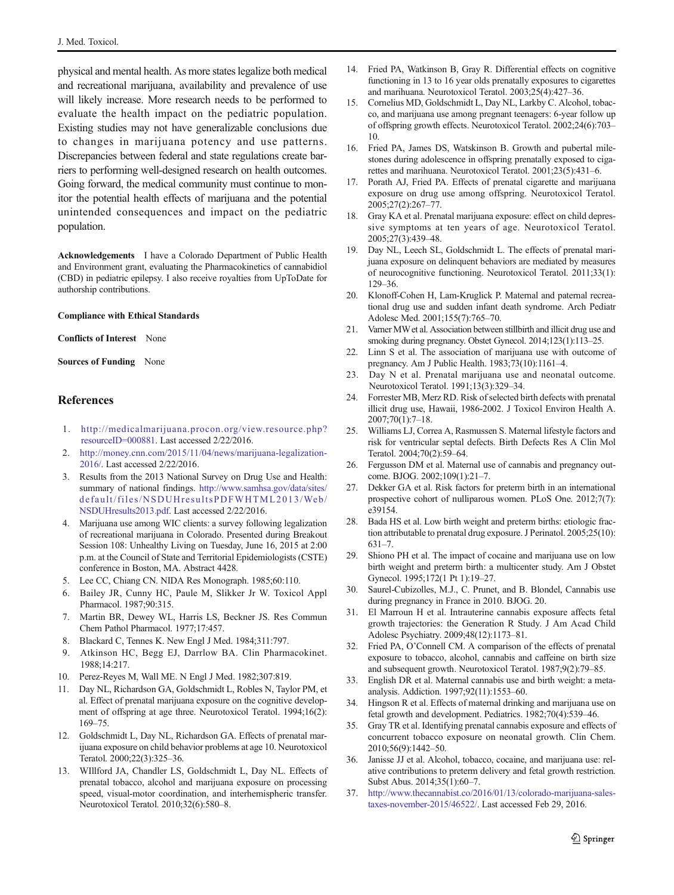<span id="page-4-0"></span>physical and mental health. As more states legalize both medical and recreational marijuana, availability and prevalence of use will likely increase. More research needs to be performed to evaluate the health impact on the pediatric population. Existing studies may not have generalizable conclusions due to changes in marijuana potency and use patterns. Discrepancies between federal and state regulations create barriers to performing well-designed research on health outcomes. Going forward, the medical community must continue to monitor the potential health effects of marijuana and the potential unintended consequences and impact on the pediatric population.

Acknowledgements I have a Colorado Department of Public Health and Environment grant, evaluating the Pharmacokinetics of cannabidiol (CBD) in pediatric epilepsy. I also receive royalties from UpToDate for authorship contributions.

#### Compliance with Ethical Standards

| <b>Conflicts of Interest</b> |  | None |
|------------------------------|--|------|
|                              |  |      |

Sources of Funding None

# References

- 1. [http://medicalmarijuana.procon.org/view.resource.php?](http://medicalmarijuana.procon.org/view.resource.php?resourceID=000881) [resourceID=000881](http://medicalmarijuana.procon.org/view.resource.php?resourceID=000881). Last accessed 2/22/2016.
- 2. [http://money.cnn.com/2015/11/04/news/marijuana-legalization-](http://money.cnn.com/2015/11/04/news/marijuana-legalization-2016/)[2016/](http://money.cnn.com/2015/11/04/news/marijuana-legalization-2016/). Last accessed 2/22/2016.
- 3. Results from the 2013 National Survey on Drug Use and Health: summary of national findings. [http://www.samhsa.gov/data/sites/](http://www.samhsa.gov/data/sites/default/files/NSDUHresultsPDFWHTML2013/Web/NSDUHresults2013.pdf) [default/files/NSDUHresultsPDFWHTML2013/Web/](http://www.samhsa.gov/data/sites/default/files/NSDUHresultsPDFWHTML2013/Web/NSDUHresults2013.pdf) [NSDUHresults2013.pdf](http://www.samhsa.gov/data/sites/default/files/NSDUHresultsPDFWHTML2013/Web/NSDUHresults2013.pdf). Last accessed 2/22/2016.
- 4. Marijuana use among WIC clients: a survey following legalization of recreational marijuana in Colorado. Presented during Breakout Session 108: Unhealthy Living on Tuesday, June 16, 2015 at 2:00 p.m. at the Council of State and Territorial Epidemiologists (CSTE) conference in Boston, MA. Abstract 4428.
- 5. Lee CC, Chiang CN. NIDA Res Monograph. 1985;60:110.
- 6. Bailey JR, Cunny HC, Paule M, Slikker Jr W. Toxicol Appl Pharmacol. 1987;90:315.
- 7. Martin BR, Dewey WL, Harris LS, Beckner JS. Res Commun Chem Pathol Pharmacol. 1977;17:457.
- 8. Blackard C, Tennes K. New Engl J Med. 1984;311:797.
- 9. Atkinson HC, Begg EJ, Darrlow BA. Clin Pharmacokinet. 1988;14:217.
- 10. Perez-Reyes M, Wall ME. N Engl J Med. 1982;307:819.
- 11. Day NL, Richardson GA, Goldschmidt L, Robles N, Taylor PM, et al. Effect of prenatal marijuana exposure on the cognitive development of offspring at age three. Neurotoxicol Teratol. 1994;16(2): 169–75.
- 12. Goldschmidt L, Day NL, Richardson GA. Effects of prenatal marijuana exposure on child behavior problems at age 10. Neurotoxicol Teratol. 2000;22(3):325–36.
- 13. WIllford JA, Chandler LS, Goldschmidt L, Day NL. Effects of prenatal tobacco, alcohol and marijuana exposure on processing speed, visual-motor coordination, and interhemispheric transfer. Neurotoxicol Teratol. 2010;32(6):580–8.
- 14. Fried PA, Watkinson B, Gray R. Differential effects on cognitive functioning in 13 to 16 year olds prenatally exposures to cigarettes and marihuana. Neurotoxicol Teratol. 2003;25(4):427–36.
- 15. Cornelius MD, Goldschmidt L, Day NL, Larkby C. Alcohol, tobacco, and marijuana use among pregnant teenagers: 6-year follow up of offspring growth effects. Neurotoxicol Teratol. 2002;24(6):703– 10.
- 16. Fried PA, James DS, Watskinson B. Growth and pubertal milestones during adolescence in offspring prenatally exposed to cigarettes and marihuana. Neurotoxicol Teratol. 2001;23(5):431–6.
- 17. Porath AJ, Fried PA. Effects of prenatal cigarette and marijuana exposure on drug use among offspring. Neurotoxicol Teratol. 2005;27(2):267–77.
- 18. Gray KA et al. Prenatal marijuana exposure: effect on child depressive symptoms at ten years of age. Neurotoxicol Teratol. 2005;27(3):439–48.
- 19. Day NL, Leech SL, Goldschmidt L. The effects of prenatal marijuana exposure on delinquent behaviors are mediated by measures of neurocognitive functioning. Neurotoxicol Teratol. 2011;33(1): 129–36.
- 20. Klonoff-Cohen H, Lam-Kruglick P. Maternal and paternal recreational drug use and sudden infant death syndrome. Arch Pediatr Adolesc Med. 2001;155(7):765–70.
- 21. Varner MWet al. Association between stillbirth and illicit drug use and smoking during pregnancy. Obstet Gynecol. 2014;123(1):113–25.
- 22. Linn S et al. The association of marijuana use with outcome of pregnancy. Am J Public Health. 1983;73(10):1161–4.
- 23. Day N et al. Prenatal marijuana use and neonatal outcome. Neurotoxicol Teratol. 1991;13(3):329–34.
- 24. Forrester MB, Merz RD. Risk of selected birth defects with prenatal illicit drug use, Hawaii, 1986-2002. J Toxicol Environ Health A. 2007;70(1):7–18.
- 25. Williams LJ, Correa A, Rasmussen S. Maternal lifestyle factors and risk for ventricular septal defects. Birth Defects Res A Clin Mol Teratol. 2004;70(2):59–64.
- 26. Fergusson DM et al. Maternal use of cannabis and pregnancy outcome. BJOG. 2002;109(1):21–7.
- 27. Dekker GA et al. Risk factors for preterm birth in an international prospective cohort of nulliparous women. PLoS One. 2012;7(7): e39154.
- 28. Bada HS et al. Low birth weight and preterm births: etiologic fraction attributable to prenatal drug exposure. J Perinatol. 2005;25(10): 631–7.
- 29. Shiono PH et al. The impact of cocaine and marijuana use on low birth weight and preterm birth: a multicenter study. Am J Obstet Gynecol. 1995;172(1 Pt 1):19–27.
- 30. Saurel-Cubizolles, M.J., C. Prunet, and B. Blondel, Cannabis use during pregnancy in France in 2010. BJOG. 20.
- 31. El Marroun H et al. Intrauterine cannabis exposure affects fetal growth trajectories: the Generation R Study. J Am Acad Child Adolesc Psychiatry. 2009;48(12):1173–81.
- 32. Fried PA, O'Connell CM. A comparison of the effects of prenatal exposure to tobacco, alcohol, cannabis and caffeine on birth size and subsequent growth. Neurotoxicol Teratol. 1987;9(2):79–85.
- 33. English DR et al. Maternal cannabis use and birth weight: a metaanalysis. Addiction. 1997;92(11):1553–60.
- 34. Hingson R et al. Effects of maternal drinking and marijuana use on fetal growth and development. Pediatrics. 1982;70(4):539–46.
- 35. Gray TR et al. Identifying prenatal cannabis exposure and effects of concurrent tobacco exposure on neonatal growth. Clin Chem. 2010;56(9):1442–50.
- 36. Janisse JJ et al. Alcohol, tobacco, cocaine, and marijuana use: relative contributions to preterm delivery and fetal growth restriction. Subst Abus. 2014;35(1):60–7.
- 37. [http://www.thecannabist.co/2016/01/13/colorado-marijuana-sales](http://www.thecannabist.co/2016/01/13/colorado-marijuana-sales-taxes-november-2015/46522/)[taxes-november-2015/46522/.](http://www.thecannabist.co/2016/01/13/colorado-marijuana-sales-taxes-november-2015/46522/) Last accessed Feb 29, 2016.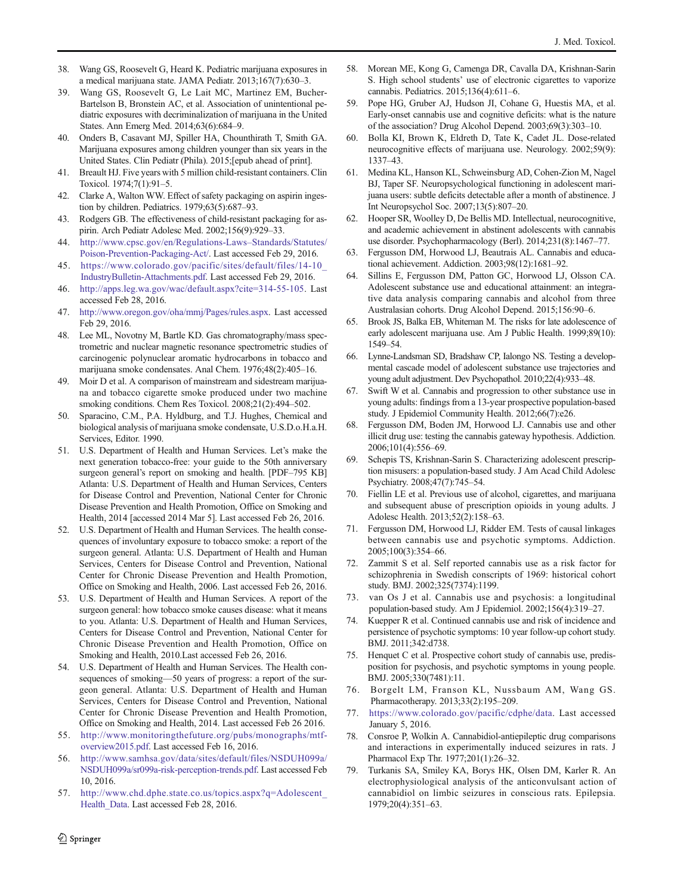- <span id="page-5-0"></span>38. Wang GS, Roosevelt G, Heard K. Pediatric marijuana exposures in a medical marijuana state. JAMA Pediatr. 2013;167(7):630–3.
- 39. Wang GS, Roosevelt G, Le Lait MC, Martinez EM, Bucher-Bartelson B, Bronstein AC, et al. Association of unintentional pediatric exposures with decriminalization of marijuana in the United States. Ann Emerg Med. 2014;63(6):684–9.
- 40. Onders B, Casavant MJ, Spiller HA, Chounthirath T, Smith GA. Marijuana exposures among children younger than six years in the United States. Clin Pediatr (Phila). 2015;[epub ahead of print].
- 41. Breault HJ. Five years with 5 million child-resistant containers. Clin Toxicol. 1974;7(1):91–5.
- Clarke A, Walton WW. Effect of safety packaging on aspirin ingestion by children. Pediatrics. 1979;63(5):687–93.
- 43. Rodgers GB. The effectiveness of child-resistant packaging for aspirin. Arch Pediatr Adolesc Med. 2002;156(9):929–33.
- 44. [http://www.cpsc.gov/en/Regulations-Laws](http://www.cpsc.gov/en/Regulations-Laws--Standards/Statutes/Poison-Prevention-Packaging-Act/)–Standards/Statutes/ [Poison-Prevention-Packaging-Act/](http://www.cpsc.gov/en/Regulations-Laws--Standards/Statutes/Poison-Prevention-Packaging-Act/). Last accessed Feb 29, 2016.
- 45. [https://www.colorado.gov/pacific/sites/default/files/14-10\\_](https://www.colorado.gov/pacific/sites/default/files/14-10_IndustryBulletin-Attachments.pdf) [IndustryBulletin-Attachments.pdf.](https://www.colorado.gov/pacific/sites/default/files/14-10_IndustryBulletin-Attachments.pdf) Last accessed Feb 29, 2016.
- 46. [http://apps.leg.wa.gov/wac/default.aspx?cite=314-55-105.](http://apps.leg.wa.gov/wac/default.aspx?cite=314-55-105) Last accessed Feb 28, 2016.
- 47. <http://www.oregon.gov/oha/mmj/Pages/rules.aspx>. Last accessed Feb 29, 2016.
- 48. Lee ML, Novotny M, Bartle KD. Gas chromatography/mass spectrometric and nuclear magnetic resonance spectrometric studies of carcinogenic polynuclear aromatic hydrocarbons in tobacco and marijuana smoke condensates. Anal Chem. 1976;48(2):405–16.
- 49. Moir D et al. A comparison of mainstream and sidestream marijuana and tobacco cigarette smoke produced under two machine smoking conditions. Chem Res Toxicol. 2008;21(2):494–502.
- 50. Sparacino, C.M., P.A. Hyldburg, and T.J. Hughes, Chemical and biological analysis of marijuana smoke condensate, U.S.D.o.H.a.H. Services, Editor. 1990.
- 51. U.S. Department of Health and Human Services. Let's make the next generation tobacco-free: your guide to the 50th anniversary surgeon general's report on smoking and health. [PDF–795 KB] Atlanta: U.S. Department of Health and Human Services, Centers for Disease Control and Prevention, National Center for Chronic Disease Prevention and Health Promotion, Office on Smoking and Health, 2014 [accessed 2014 Mar 5]. Last accessed Feb 26, 2016.
- 52. U.S. Department of Health and Human Services. The health consequences of involuntary exposure to tobacco smoke: a report of the surgeon general. Atlanta: U.S. Department of Health and Human Services, Centers for Disease Control and Prevention, National Center for Chronic Disease Prevention and Health Promotion, Office on Smoking and Health, 2006. Last accessed Feb 26, 2016.
- 53. U.S. Department of Health and Human Services. A report of the surgeon general: how tobacco smoke causes disease: what it means to you. Atlanta: U.S. Department of Health and Human Services, Centers for Disease Control and Prevention, National Center for Chronic Disease Prevention and Health Promotion, Office on Smoking and Health, 2010.Last accessed Feb 26, 2016.
- 54. U.S. Department of Health and Human Services. The Health consequences of smoking—50 years of progress: a report of the surgeon general. Atlanta: U.S. Department of Health and Human Services, Centers for Disease Control and Prevention, National Center for Chronic Disease Prevention and Health Promotion, Office on Smoking and Health, 2014. Last accessed Feb 26 2016.
- 55. [http://www.monitoringthefuture.org/pubs/monographs/mtf](http://www.monitoringthefuture.org/pubs/monographs/mtf-overview2015.pdf)[overview2015.pdf](http://www.monitoringthefuture.org/pubs/monographs/mtf-overview2015.pdf). Last accessed Feb 16, 2016.
- 56. [http://www.samhsa.gov/data/sites/default/files/NSDUH099a/](http://www.samhsa.gov/data/sites/default/files/NSDUH099a/NSDUH099a/sr099a-risk-perception-trends.pdf) [NSDUH099a/sr099a-risk-perception-trends.pdf.](http://www.samhsa.gov/data/sites/default/files/NSDUH099a/NSDUH099a/sr099a-risk-perception-trends.pdf) Last accessed Feb 10, 2016.
- 57. [http://www.chd.dphe.state.co.us/topics.aspx?q=Adolescent\\_](http://www.chd.dphe.state.co.us/topics.aspx?q=Adolescent_Health_Data) [Health\\_Data](http://www.chd.dphe.state.co.us/topics.aspx?q=Adolescent_Health_Data). Last accessed Feb 28, 2016.
- 58. Morean ME, Kong G, Camenga DR, Cavalla DA, Krishnan-Sarin S. High school students' use of electronic cigarettes to vaporize cannabis. Pediatrics. 2015;136(4):611–6.
- 59. Pope HG, Gruber AJ, Hudson JI, Cohane G, Huestis MA, et al. Early-onset cannabis use and cognitive deficits: what is the nature of the association? Drug Alcohol Depend. 2003;69(3):303–10.
- 60. Bolla KI, Brown K, Eldreth D, Tate K, Cadet JL. Dose-related neurocognitive effects of marijuana use. Neurology. 2002;59(9): 1337–43.
- 61. Medina KL, Hanson KL, Schweinsburg AD, Cohen-Zion M, Nagel BJ, Taper SF. Neuropsychological functioning in adolescent marijuana users: subtle deficits detectable after a month of abstinence. J Int Neuropsychol Soc. 2007;13(5):807–20.
- 62. Hooper SR, Woolley D, De Bellis MD. Intellectual, neurocognitive, and academic achievement in abstinent adolescents with cannabis use disorder. Psychopharmacology (Berl). 2014;231(8):1467–77.
- 63. Fergusson DM, Horwood LJ, Beautrais AL. Cannabis and educational achievement. Addiction. 2003;98(12):1681–92.
- 64. Sillins E, Fergusson DM, Patton GC, Horwood LJ, Olsson CA. Adolescent substance use and educational attainment: an integrative data analysis comparing cannabis and alcohol from three Australasian cohorts. Drug Alcohol Depend. 2015;156:90–6.
- 65. Brook JS, Balka EB, Whiteman M. The risks for late adolescence of early adolescent marijuana use. Am J Public Health. 1999;89(10): 1549–54.
- 66. Lynne-Landsman SD, Bradshaw CP, Ialongo NS. Testing a developmental cascade model of adolescent substance use trajectories and young adult adjustment. Dev Psychopathol. 2010;22(4):933–48.
- 67. Swift W et al. Cannabis and progression to other substance use in young adults: findings from a 13-year prospective population-based study. J Epidemiol Community Health. 2012;66(7):e26.
- 68. Fergusson DM, Boden JM, Horwood LJ. Cannabis use and other illicit drug use: testing the cannabis gateway hypothesis. Addiction. 2006;101(4):556–69.
- 69. Schepis TS, Krishnan-Sarin S. Characterizing adolescent prescription misusers: a population-based study. J Am Acad Child Adolesc Psychiatry. 2008;47(7):745–54.
- 70. Fiellin LE et al. Previous use of alcohol, cigarettes, and marijuana and subsequent abuse of prescription opioids in young adults. J Adolesc Health. 2013;52(2):158–63.
- 71. Fergusson DM, Horwood LJ, Ridder EM. Tests of causal linkages between cannabis use and psychotic symptoms. Addiction. 2005;100(3):354–66.
- 72. Zammit S et al. Self reported cannabis use as a risk factor for schizophrenia in Swedish conscripts of 1969: historical cohort study. BMJ. 2002;325(7374):1199.
- 73. van Os J et al. Cannabis use and psychosis: a longitudinal population-based study. Am J Epidemiol. 2002;156(4):319–27.
- 74. Kuepper R et al. Continued cannabis use and risk of incidence and persistence of psychotic symptoms: 10 year follow-up cohort study. BMJ. 2011;342:d738.
- 75. Henquet C et al. Prospective cohort study of cannabis use, predisposition for psychosis, and psychotic symptoms in young people. BMJ. 2005;330(7481):11.
- 76. Borgelt LM, Franson KL, Nussbaum AM, Wang GS. Pharmacotherapy. 2013;33(2):195–209.
- 77. <https://www.colorado.gov/pacific/cdphe/data>. Last accessed January 5, 2016.
- 78. Consroe P, Wolkin A. Cannabidiol-antiepileptic drug comparisons and interactions in experimentally induced seizures in rats. J Pharmacol Exp Thr. 1977;201(1):26–32.
- 79. Turkanis SA, Smiley KA, Borys HK, Olsen DM, Karler R. An electrophysiological analysis of the anticonvulsant action of cannabidiol on limbic seizures in conscious rats. Epilepsia. 1979;20(4):351–63.